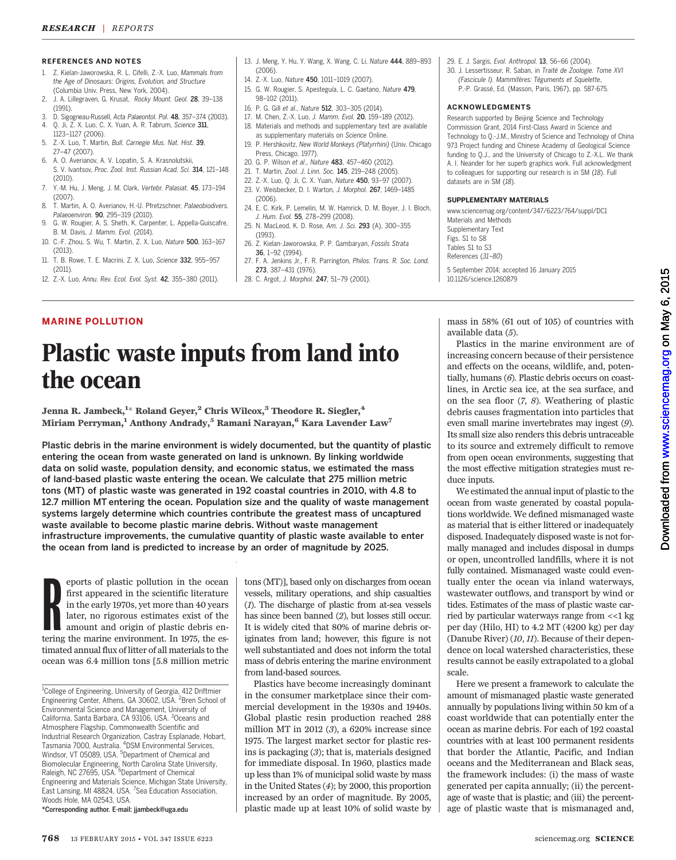#### REFERENCES AND NOTES

- 1. Z. Kielan-Jaworowska, R. L. Cifelli, Z.-X. Luo, Mammals from the Age of Dinosaurs: Origins, Evolution, and Structure (Columbia Univ. Press, New York, 2004).
- 2. J. A. Lillegraven, G. Krusat, Rocky Mount. Geol. 28, 39–138 (1991).
- 3. D. Sigogneau-Russell, Acta Palaeontol. Pol. 48, 357–374 (2003). 4. Q. Ji, Z. X. Luo, C. X. Yuan, A. R. Tabrum, Science 311,
- 1123–1127 (2006). 5. Z.-X. Luo, T. Martin, Bull. Carnegie Mus. Nat. Hist. 39,
- 27–47 (2007). 6. A. O. Averianov, A. V. Lopatin, S. A. Krasnolutskii,
- S. V. Ivantsov, Proc. Zool. Inst. Russian Acad. Sci. 314, 121–148 (2010).
- 7. Y.-M. Hu, J. Meng, J. M. Clark, Vertebr. Palasiat. 45, 173–194 (2007).
- 8. T. Martin, A. O. Averianov, H.-U. Pfretzschner, Palaeobiodivers. Palaeoenviron. 90, 295–319 (2010).
- 9. G. W. Rougier, A. S. Sheth, K. Carpenter, L. Appella-Guiscafre, B. M. Davis, J. Mamm. Evol. (2014).
- 10. C.-F. Zhou, S. Wu, T. Martin, Z. X. Luo, Nature 500, 163–167 (2013).
- 11. T. B. Rowe, T. E. Macrini, Z. X. Luo, Science 332, 955–957 (2011).
- 12. Z.-X. Luo, Annu. Rev. Ecol. Evol. Syst. 42, 355–380 (2011).

MARINE POLLUTION

the ocean

- 13. J. Meng, Y. Hu, Y. Wang, X. Wang, C. Li, Nature 444, 889–893  $(2006)$
- 14. Z.-X. Luo, Nature 450, 1011-1019 (2007).
- 15. G. W. Rougier, S. Apesteguía, L. C. Gaetano, Nature 479, 98–102 (2011).
- 16. P. G. Gill et al., Nature 512, 303–305 (2014).
- 17. M. Chen, Z.-X. Luo, J. Mamm. Evol. 20, 159–189 (2012).
- 18. Materials and methods and supplementary text are available as supplementary materials on Science Online.
- 19. P. Hershkovitz, New World Monkeys (Platyrrhini) (Univ. Chicago Press, Chicago, 1977).
- 20. G. P. Wilson et al., Nature 483, 457–460 (2012).
- 21. T. Martin, Zool. J. Linn. Soc. 145, 219–248 (2005).
- 22. Z.-X. Luo, Q. Ji, C. X. Yuan, Nature 450, 93–97 (2007).
- 23. V. Weisbecker, D. I. Warton, J. Morphol. 267, 1469–1485
- (2006). 24. E. C. Kirk, P. Lemelin, M. W. Hamrick, D. M. Boyer, J. I. Bloch,
- J. Hum. Evol. 55, 278–299 (2008). 25. N. MacLeod, K. D. Rose, Am. J. Sci. 293 (A), 300–355
- (1993). 26. Z. Kielan-Jaworowska, P. P. Gambaryan, Fossils Strata
- 36, 1–92 (1994).
- 27. F. A. Jenkins Jr., F. R. Parrington, Philos. Trans. R. Soc. Lond. 273, 387–431 (1976).
- 28. C. Argot, J. Morphol. 247, 51–79 (2001).
- 29. E. J. Sargis, Evol. Anthropol. 13, 56–66 (2004).
- 30. J. Lessertisseur, R. Saban, in Traité de Zoologie. Tome XVI (Fascicule I). Mammifères: Téguments et Squelette, P.-P. Grassé, Ed. (Masson, Paris, 1967), pp. 587-675.

#### ACKNOWLEDGMENTS

Research supported by Beijing Science and Technology Commission Grant, 2014 First-Class Award in Science and Technology to Q.-J.M., Ministry of Science and Technology of China 973 Project funding and Chinese Academy of Geological Science funding to Q.J., and the University of Chicago to Z.-X.L. We thank A. I. Neander for her superb graphics work. Full acknowledgment to colleagues for supporting our research is in SM (18). Full datasets are in SM (18).

#### SUPPLEMENTARY MATERIALS

www.sciencemag.org/content/347/6223/764/suppl/DC1 Materials and Methods Supplementary Text Figs. S1 to S8 Tables S1 to S3 References (31–80)

5 September 2014; accepted 16 January 2015 10.1126/science.1260879

# Plastic waste inputs from land into

Jenna R. Jambeck, $^{1\ast}$  Roland Geyer, $^2$  Chris Wilcox, $^3$  Theodore R. Siegler, $^4$ Miriam Perryman,<sup>1</sup> Anthony Andrady,<sup>5</sup> Ramani Narayan,<sup>6</sup> Kara Lavender Law<sup>7</sup>

Plastic debris in the marine environment is widely documented, but the quantity of plastic entering the ocean from waste generated on land is unknown. By linking worldwide data on solid waste, population density, and economic status, we estimated the mass of land-based plastic waste entering the ocean. We calculate that 275 million metric tons (MT) of plastic waste was generated in 192 coastal countries in 2010, with 4.8 to 12.7 million MT entering the ocean. Population size and the quality of waste management systems largely determine which countries contribute the greatest mass of uncaptured waste available to become plastic marine debris. Without waste management infrastructure improvements, the cumulative quantity of plastic waste available to enter the ocean from land is predicted to increase by an order of magnitude by 2025.

eports of plastic pollution in the ocean<br>first appeared in the scientific literature<br>in the early 1970s, yet more than 40 years<br>later, no rigorous estimates exist of the<br>amount and origin of plastic debris en-<br>tering the m eports of plastic pollution in the ocean first appeared in the scientific literature in the early 1970s, yet more than 40 years later, no rigorous estimates exist of the amount and origin of plastic debris entimated annual flux of litter of all materials to the ocean was 6.4 million tons [5.8 million metric

\*Corresponding author. E-mail: jjambeck@uga.edu

tons (MT)], based only on discharges from ocean vessels, military operations, and ship casualties (1). The discharge of plastic from at-sea vessels has since been banned (2), but losses still occur. It is widely cited that 80% of marine debris originates from land; however, this figure is not well substantiated and does not inform the total mass of debris entering the marine environment from land-based sources.

Plastics have become increasingly dominant in the consumer marketplace since their commercial development in the 1930s and 1940s. Global plastic resin production reached 288 million MT in 2012 (3), a 620% increase since 1975. The largest market sector for plastic resins is packaging (3); that is, materials designed for immediate disposal. In 1960, plastics made up less than 1% of municipal solid waste by mass in the United States (4); by 2000, this proportion increased by an order of magnitude. By 2005, plastic made up at least 10% of solid waste by

mass in 58% (61 out of 105) of countries with available data (5).

Plastics in the marine environment are of increasing concern because of their persistence and effects on the oceans, wildlife, and, potentially, humans (6). Plastic debris occurs on coastlines, in Arctic sea ice, at the sea surface, and on the sea floor (7, 8). Weathering of plastic debris causes fragmentation into particles that even small marine invertebrates may ingest (9). Its small size also renders this debris untraceable to its source and extremely difficult to remove from open ocean environments, suggesting that the most effective mitigation strategies must reduce inputs.

We estimated the annual input of plastic to the ocean from waste generated by coastal populations worldwide. We defined mismanaged waste as material that is either littered or inadequately disposed. Inadequately disposed waste is not formally managed and includes disposal in dumps or open, uncontrolled landfills, where it is not fully contained. Mismanaged waste could eventually enter the ocean via inland waterways, wastewater outflows, and transport by wind or tides. Estimates of the mass of plastic waste carried by particular waterways range from <<1 kg per day (Hilo, HI) to 4.2 MT (4200 kg) per day (Danube River) (10, 11). Because of their dependence on local watershed characteristics, these results cannot be easily extrapolated to a global

Here we present a framework to calculate the amount of mismanaged plastic waste generated annually by populations living within 50 km of a coast worldwide that can potentially enter the ocean as marine debris. For each of 192 coastal countries with at least 100 permanent residents that border the Atlantic, Pacific, and Indian oceans and the Mediterranean and Black seas, the framework includes: (i) the mass of waste generated per capita annually; (ii) the percentage of waste that is plastic; and (iii) the percentage of plastic waste that is mismanaged and,

scale.

<sup>&</sup>lt;sup>1</sup>College of Engineering, University of Georgia, 412 Driftmier Engineering Center, Athens, GA 30602, USA. <sup>2</sup>Bren School of Environmental Science and Management, University of California, Santa Barbara, CA 93106, USA. <sup>3</sup>Oceans and Atmosphere Flagship, Commonwealth Scientific and Industrial Research Organization, Castray Esplanade, Hobart, Tasmania 7000, Australia. <sup>4</sup> DSM Environmental Services, Windsor, VT 05089, USA. <sup>5</sup>Department of Chemical and Biomolecular Engineering, North Carolina State University,<br>Raleigh, NC 27695, USA. <sup>6</sup>Department of Chemical Engineering and Materials Science, Michigan State University, East Lansing, MI 48824, USA.<sup>7</sup> Sea Education Association, Woods Hole, MA 02543, USA.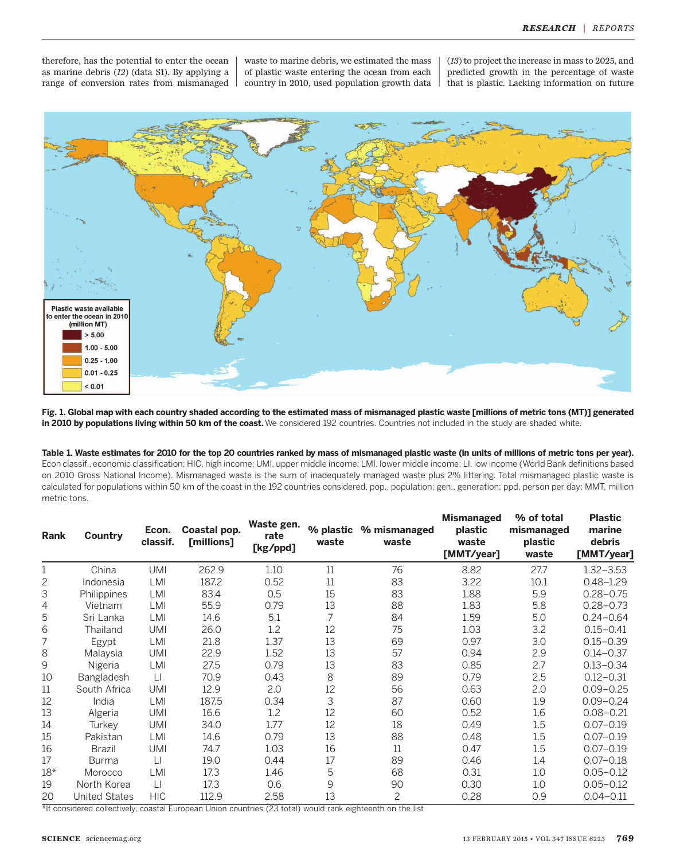therefore, has the potential to enter the ocean as marine debris (12) (data S1). By applying a range of conversion rates from mismanaged waste to marine debris, we estimated the mass of plastic waste entering the ocean from each country in 2010, used population growth data (13) to project the increase in mass to 2025, and predicted growth in the percentage of waste that is plastic. Lacking information on future



Fig. 1. Global map with each country shaded according to the estimated mass of mismanaged plastic waste [millions of metric tons (MT)] generated in 2010 by populations living within 50 km of the coast. We considered 192 countries. Countries not included in the study are shaded white.

### Table 1. Waste estimates for 2010 for the top 20 countries ranked by mass of mismanaged plastic waste (in units of millions of metric tons per year).

Econ classif., economic classification; HIC, high income; UMI, upper middle income; LMI, lower middle income; LI, low income (World Bank definitions based on 2010 Gross National Income). Mismanaged waste is the sum of inadequately managed waste plus 2% littering. Total mismanaged plastic waste is calculated for populations within 50 km of the coast in the 192 countries considered. pop., population; gen., generation; ppd, person per day; MMT, million metric tons.

| Rank  | Country              | Econ.<br>classif. | Coastal pop.<br>[millions] | Waste gen.<br>rate<br>[kg/ppd] | % plastic<br>waste | % mismanaged<br>waste | <b>Mismanaged</b><br>plastic<br>waste<br>[MMT/year] | % of total<br>mismanaged<br>plastic<br>waste | <b>Plastic</b><br>marine<br>debris<br>[MMT/year] |
|-------|----------------------|-------------------|----------------------------|--------------------------------|--------------------|-----------------------|-----------------------------------------------------|----------------------------------------------|--------------------------------------------------|
| 1     | China                | <b>UMI</b>        | 262.9                      | 1.10                           | 11                 | 76                    | 8.82                                                | 27.7                                         | $1.32 - 3.53$                                    |
| 2     | Indonesia            | LMI               | 187.2                      | 0.52                           | 11                 | 83                    | 3.22                                                | 10.1                                         | $0.48 - 1.29$                                    |
| 3     | Philippines          | <b>LMI</b>        | 83.4                       | 0.5                            | 15                 | 83                    | 1.88                                                | 5.9                                          | $0.28 - 0.75$                                    |
| 4     | Vietnam              | LMI               | 55.9                       | 0.79                           | 13                 | 88                    | 1.83                                                | 5.8                                          | $0.28 - 0.73$                                    |
| 5     | Sri Lanka            | LMI               | 14.6                       | 5.1                            | 7                  | 84                    | 1.59                                                | 5.0                                          | $0.24 - 0.64$                                    |
| 6     | Thailand             | <b>UMI</b>        | 26.0                       | 1.2                            | 12                 | 75                    | 1.03                                                | 3.2                                          | $0.15 - 0.41$                                    |
| 7     | Egypt                | LMI               | 21.8                       | 1.37                           | 13                 | 69                    | 0.97                                                | 3.0                                          | $0.15 - 0.39$                                    |
| 8     | Malaysia             | <b>UMI</b>        | 22.9                       | 1.52                           | 13                 | 57                    | 0.94                                                | 2.9                                          | $0.14 - 0.37$                                    |
| 9     | Nigeria              | LMI               | 27.5                       | 0.79                           | 13                 | 83                    | 0.85                                                | 2.7                                          | $0.13 - 0.34$                                    |
| 10    | Bangladesh           | $\Box$            | 70.9                       | 0.43                           | 8                  | 89                    | 0.79                                                | 2.5                                          | $0.12 - 0.31$                                    |
| 11    | South Africa         | <b>UMI</b>        | 12.9                       | 2.0                            | 12                 | 56                    | 0.63                                                | 2.0                                          | $0.09 - 0.25$                                    |
| 12    | India                | LMI               | 187.5                      | 0.34                           | 3                  | 87                    | 0.60                                                | 1.9                                          | $0.09 - 0.24$                                    |
| 13    | Algeria              | <b>UMI</b>        | 16.6                       | 1.2                            | 12                 | 60                    | 0.52                                                | 1.6                                          | $0.08 - 0.21$                                    |
| 14    | Turkev               | <b>UMI</b>        | 34.0                       | 1.77                           | 12                 | 18                    | 0.49                                                | 1.5                                          | $0.07 - 0.19$                                    |
| 15    | Pakistan             | <b>LMI</b>        | 14.6                       | 0.79                           | 13                 | 88                    | 0.48                                                | 1.5                                          | $0.07 - 0.19$                                    |
| 16    | Brazil               | <b>UMI</b>        | 74.7                       | 1.03                           | 16                 | 11                    | 0.47                                                | 1.5                                          | $0.07 - 0.19$                                    |
| 17    | <b>Burma</b>         | $\Box$            | 19.0                       | 0.44                           | 17                 | 89                    | 0.46                                                | 1.4                                          | $0.07 - 0.18$                                    |
| $18*$ | Morocco              | LMI               | 17.3                       | 1.46                           | 5                  | 68                    | 0.31                                                | 1.0                                          | $0.05 - 0.12$                                    |
| 19    | North Korea          | $\Box$            | 17.3                       | 0.6                            | 9                  | 90                    | 0.30                                                | 1.0                                          | $0.05 - 0.12$                                    |
| 20    | <b>United States</b> | <b>HIC</b>        | 112.9                      | 2.58                           | 13                 | 2                     | 0.28                                                | 0.9                                          | $0.04 - 0.11$                                    |

\*If considered collectively, coastal European Union countries (23 total) would rank eighteenth on the list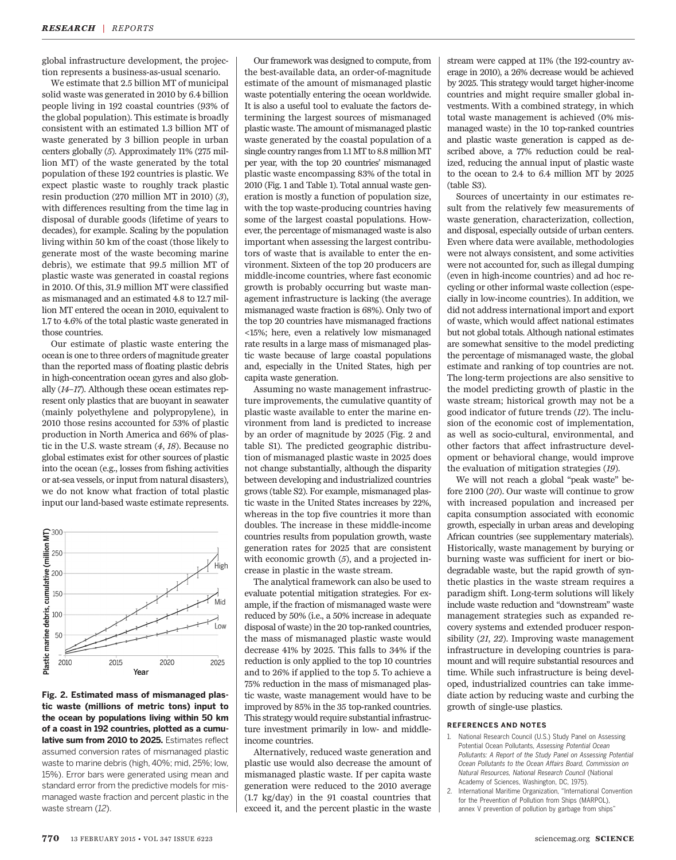global infrastructure development, the projection represents a business-as-usual scenario.

We estimate that 2.5 billion MT of municipal solid waste was generated in 2010 by 6.4 billion people living in 192 coastal countries (93% of the global population). This estimate is broadly consistent with an estimated 1.3 billion MT of waste generated by 3 billion people in urban centers globally (5). Approximately 11% (275 million MT) of the waste generated by the total population of these 192 countries is plastic. We expect plastic waste to roughly track plastic resin production (270 million MT in 2010) (3), with differences resulting from the time lag in disposal of durable goods (lifetime of years to decades), for example. Scaling by the population living within 50 km of the coast (those likely to generate most of the waste becoming marine debris), we estimate that 99.5 million MT of plastic waste was generated in coastal regions in 2010. Of this, 31.9 million MT were classified as mismanaged and an estimated 4.8 to 12.7 million MT entered the ocean in 2010, equivalent to 1.7 to 4.6% of the total plastic waste generated in those countries.

Our estimate of plastic waste entering the ocean is one to three orders of magnitude greater than the reported mass of floating plastic debris in high-concentration ocean gyres and also globally (14–17). Although these ocean estimates represent only plastics that are buoyant in seawater (mainly polyethylene and polypropylene), in 2010 those resins accounted for 53% of plastic production in North America and 66% of plastic in the U.S. waste stream (4, 18). Because no global estimates exist for other sources of plastic into the ocean (e.g., losses from fishing activities or at-sea vessels, or input from natural disasters), we do not know what fraction of total plastic input our land-based waste estimate represents.



Fig. 2. Estimated mass of mismanaged plastic waste (millions of metric tons) input to the ocean by populations living within 50 km of a coast in 192 countries, plotted as a cumulative sum from 2010 to 2025. Estimates reflect assumed conversion rates of mismanaged plastic waste to marine debris (high, 40%; mid, 25%; low, 15%). Error bars were generated using mean and standard error from the predictive models for mismanaged waste fraction and percent plastic in the waste stream (12).

Our framework was designed to compute, from the best-available data, an order-of-magnitude estimate of the amount of mismanaged plastic waste potentially entering the ocean worldwide. It is also a useful tool to evaluate the factors determining the largest sources of mismanaged plastic waste. The amount of mismanaged plastic waste generated by the coastal population of a single country ranges from 1.1 MT to 8.8 million MT per year, with the top 20 countries' mismanaged plastic waste encompassing 83% of the total in 2010 (Fig. 1 and Table 1). Total annual waste generation is mostly a function of population size, with the top waste-producing countries having some of the largest coastal populations. However, the percentage of mismanaged waste is also important when assessing the largest contributors of waste that is available to enter the environment. Sixteen of the top 20 producers are middle-income countries, where fast economic growth is probably occurring but waste management infrastructure is lacking (the average mismanaged waste fraction is 68%). Only two of the top 20 countries have mismanaged fractions <15%; here, even a relatively low mismanaged rate results in a large mass of mismanaged plastic waste because of large coastal populations and, especially in the United States, high per capita waste generation.

Assuming no waste management infrastructure improvements, the cumulative quantity of plastic waste available to enter the marine environment from land is predicted to increase by an order of magnitude by 2025 (Fig. 2 and table S1). The predicted geographic distribution of mismanaged plastic waste in 2025 does not change substantially, although the disparity between developing and industrialized countries grows (table S2). For example, mismanaged plastic waste in the United States increases by 22%, whereas in the top five countries it more than doubles. The increase in these middle-income countries results from population growth, waste generation rates for 2025 that are consistent with economic growth  $(5)$ , and a projected increase in plastic in the waste stream.

The analytical framework can also be used to evaluate potential mitigation strategies. For example, if the fraction of mismanaged waste were reduced by 50% (i.e., a 50% increase in adequate disposal of waste) in the 20 top-ranked countries, the mass of mismanaged plastic waste would decrease 41% by 2025. This falls to 34% if the reduction is only applied to the top 10 countries and to 26% if applied to the top 5. To achieve a 75% reduction in the mass of mismanaged plastic waste, waste management would have to be improved by 85% in the 35 top-ranked countries. This strategy would require substantial infrastructure investment primarily in low- and middleincome countries.

Alternatively, reduced waste generation and plastic use would also decrease the amount of mismanaged plastic waste. If per capita waste generation were reduced to the 2010 average (1.7 kg/day) in the 91 coastal countries that exceed it, and the percent plastic in the waste stream were capped at 11% (the 192-country average in 2010), a 26% decrease would be achieved by 2025. This strategy would target higher-income countries and might require smaller global investments. With a combined strategy, in which total waste management is achieved (0% mismanaged waste) in the 10 top-ranked countries and plastic waste generation is capped as described above, a 77% reduction could be realized, reducing the annual input of plastic waste to the ocean to 2.4 to 6.4 million MT by 2025 (table S3).

Sources of uncertainty in our estimates result from the relatively few measurements of waste generation, characterization, collection, and disposal, especially outside of urban centers. Even where data were available, methodologies were not always consistent, and some activities were not accounted for, such as illegal dumping (even in high-income countries) and ad hoc recycling or other informal waste collection (especially in low-income countries). In addition, we did not address international import and export of waste, which would affect national estimates but not global totals. Although national estimates are somewhat sensitive to the model predicting the percentage of mismanaged waste, the global estimate and ranking of top countries are not. The long-term projections are also sensitive to the model predicting growth of plastic in the waste stream; historical growth may not be a good indicator of future trends (12). The inclusion of the economic cost of implementation, as well as socio-cultural, environmental, and other factors that affect infrastructure development or behavioral change, would improve the evaluation of mitigation strategies (19).

We will not reach a global "peak waste" before 2100 (20). Our waste will continue to grow with increased population and increased per capita consumption associated with economic growth, especially in urban areas and developing African countries (see supplementary materials). Historically, waste management by burying or burning waste was sufficient for inert or biodegradable waste, but the rapid growth of synthetic plastics in the waste stream requires a paradigm shift. Long-term solutions will likely include waste reduction and "downstream" waste management strategies such as expanded recovery systems and extended producer responsibility (21, 22). Improving waste management infrastructure in developing countries is paramount and will require substantial resources and time. While such infrastructure is being developed, industrialized countries can take immediate action by reducing waste and curbing the growth of single-use plastics.

#### REFERENCES AND NOTES

- 1. National Research Council (U.S.) Study Panel on Assessing Potential Ocean Pollutants, Assessing Potential Ocean Pollutants: A Report of the Study Panel on Assessing Potential Ocean Pollutants to the Ocean Affairs Board, Commission on Natural Resources, National Research Council (National Academy of Sciences, Washington, DC, 1975).
- 2. International Maritime Organization, "International Convention for the Prevention of Pollution from Ships (MARPOL), annex V prevention of pollution by garbage from ships"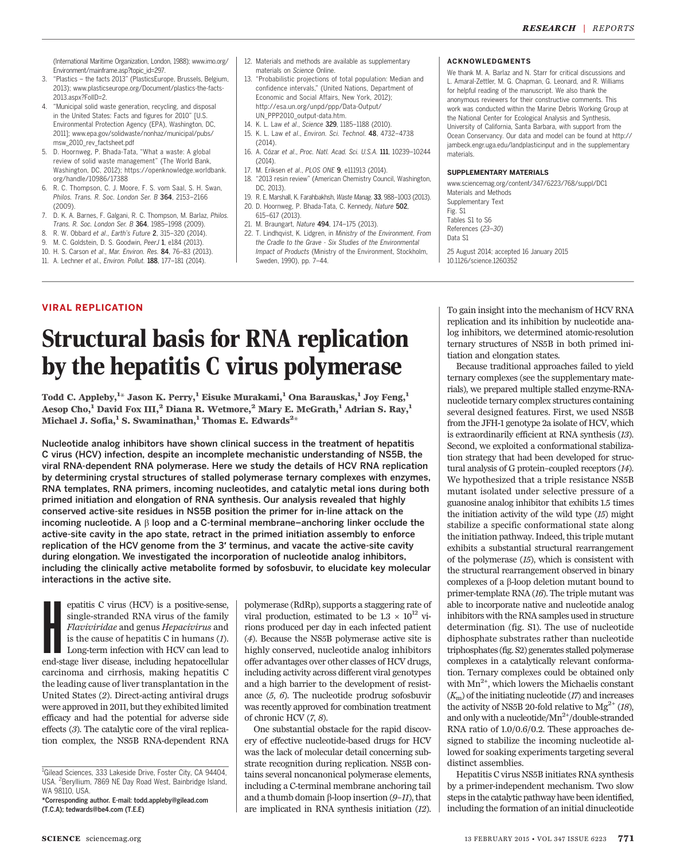(International Maritime Organization, London, 1988); www.imo.org/ Environment/mainframe.asp?topic\_id=297.

- 3. "Plastics the facts 2013" (PlasticsEurope, Brussels, Belgium, 2013); www.plasticseurope.org/Document/plastics-the-facts-2013.aspx?FolID=2.
- 4. "Municipal solid waste generation, recycling, and disposal in the United States: Facts and figures for 2010" [U.S. Environmental Protection Agency (EPA), Washington, DC, 2011]; www.epa.gov/solidwaste/nonhaz/municipal/pubs/ msw\_2010\_rev\_factsheet.pdf
- 5. D. Hoornweg, P. Bhada-Tata, "What a waste: A global review of solid waste management" (The World Bank, Washington, DC, 2012); https://openknowledge.worldbank. org/handle/10986/17388
- 6. R. C. Thompson, C. J. Moore, F. S. vom Saal, S. H. Swan, Philos. Trans. R. Soc. London Ser. B 364, 2153–2166 (2009).
- 7. D. K. A. Barnes, F. Galgani, R. C. Thompson, M. Barlaz, Philos. Trans. R. Soc. London Ser. B 364, 1985–1998 (2009).
- 8. R. W. Obbard et al., Earth*'*s Future 2, 315–320 (2014).
- 9. M. C. Goldstein, D. S. Goodwin, PeerJ 1, e184 (2013).
- 10. H. S. Carson et al., Mar. Environ. Res. 84, 76–83 (2013).
- 11. A. Lechner et al., Environ. Pollut. 188, 177–181 (2014).
- 12. Materials and methods are available as supplementary materials on Science Online.
- 13. "Probabilistic projections of total population: Median and confidence intervals," (United Nations, Department of Economic and Social Affairs, New York, 2012); http://esa.un.org/unpd/ppp/Data-Output/ UN\_PPP2010\_output-data.htm.
- 14. K. L. Law et al., Science 329, 1185–1188 (2010).
- 15. K. L. Law et al., Environ. Sci. Technol. 48, 4732–4738 (2014).
- 16. A. Cózar et al., Proc. Natl. Acad. Sci. U.S.A. 111, 10239–10244 (2014).
- 17. M. Eriksen et al., PLOS ONE 9, e111913 (2014).
- 18. "2013 resin review" (American Chemistry Council, Washington, DC, 2013).
- 19. R. E. Marshall, K. Farahbakhsh, Waste Manag. 33, 988–1003 (2013). 20. D. Hoornweg, P. Bhada-Tata, C. Kennedy, Nature 502,
- 615–617 (2013).
- 21. M. Braungart, Nature 494, 174–175 (2013).
- 22. T. Lindhqvist, K. Lidgren, in Ministry of the Environment, From the Cradle to the Grave - Six Studies of the Environmental Impact of Products (Ministry of the Environment, Stockholm, Sweden, 1990), pp. 7–44.

#### ACKNOWLEDGMENTS

We thank M. A. Barlaz and N. Starr for critical discussions and L. Amaral-Zettler, M. G. Chapman, G. Leonard, and R. Williams for helpful reading of the manuscript. We also thank the anonymous reviewers for their constructive comments. This work was conducted within the Marine Debris Working Group at the National Center for Ecological Analysis and Synthesis, University of California, Santa Barbara, with support from the Ocean Conservancy. Our data and model can be found at http:// jambeck.engr.uga.edu/landplasticinput and in the supplementary materials.

#### SUPPLEMENTARY MATERIALS

10.1126/science.1260352

www.sciencemag.org/content/347/6223/768/suppl/DC1 Materials and Methods Supplementary Text Fig. S1 Tables S1 to S6 References (23–30) Data S1 25 August 2014; accepted 16 January 2015

#### VIRAL REPLICATION

## Structural basis for RNA replication by the hepatitis C virus polymerase

Todd C. Appleby, $^{1\star}$  Jason K. Perry, $^{1}$  Eisuke Murakami, $^{1}$  Ona Barauskas, $^{1}$  Joy Feng, $^{1}$ Aesop Cho,<sup>1</sup> David Fox III,<sup>2</sup> Diana R. Wetmore,<sup>2</sup> Mary E. McGrath,<sup>1</sup> Adrian S. Ray,<sup>1</sup> Michael J. Sofia, $^1$  S. Swaminathan, $^1$  Thomas E. Edwards $^{2+}$ 

Nucleotide analog inhibitors have shown clinical success in the treatment of hepatitis C virus (HCV) infection, despite an incomplete mechanistic understanding of NS5B, the viral RNA-dependent RNA polymerase. Here we study the details of HCV RNA replication by determining crystal structures of stalled polymerase ternary complexes with enzymes, RNA templates, RNA primers, incoming nucleotides, and catalytic metal ions during both primed initiation and elongation of RNA synthesis. Our analysis revealed that highly conserved active-site residues in NS5B position the primer for in-line attack on the incoming nucleotide. A  $\beta$  loop and a C-terminal membrane–anchoring linker occlude the active-site cavity in the apo state, retract in the primed initiation assembly to enforce replication of the HCV genome from the 3′ terminus, and vacate the active-site cavity during elongation. We investigated the incorporation of nucleotide analog inhibitors, including the clinically active metabolite formed by sofosbuvir, to elucidate key molecular interactions in the active site.

epatitis C virus (HCV) is a positive-sense, single-stranded RNA virus of the family Flaviviridae and genus Hepacivirus and is the cause of hepatitis C in humans (1). Long-term infection with HCV can lead to end-stage liver epatitis C virus (HCV) is a positive-sense, single-stranded RNA virus of the family Flaviviridae and genus Hepacivirus and is the cause of hepatitis C in humans  $(I)$ . Long-term infection with HCV can lead to carcinoma and cirrhosis, making hepatitis C the leading cause of liver transplantation in the United States (2). Direct-acting antiviral drugs were approved in 2011, but they exhibited limited efficacy and had the potential for adverse side effects (3). The catalytic core of the viral replication complex, the NS5B RNA-dependent RNA

polymerase (RdRp), supports a staggering rate of viral production, estimated to be  $1.3 \times 10^{12}$  virions produced per day in each infected patient (4). Because the NS5B polymerase active site is highly conserved, nucleotide analog inhibitors offer advantages over other classes of HCV drugs, including activity across different viral genotypes and a high barrier to the development of resistance (5, 6). The nucleotide prodrug sofosbuvir was recently approved for combination treatment of chronic HCV (7, 8).

One substantial obstacle for the rapid discovery of effective nucleotide-based drugs for HCV was the lack of molecular detail concerning substrate recognition during replication. NS5B contains several noncanonical polymerase elements, including a C-terminal membrane anchoring tail and a thumb domain  $\beta$ -loop insertion (9–11), that are implicated in RNA synthesis initiation (12).

To gain insight into the mechanism of HCV RNA replication and its inhibition by nucleotide analog inhibitors, we determined atomic-resolution ternary structures of NS5B in both primed initiation and elongation states.

Because traditional approaches failed to yield ternary complexes (see the supplementary materials), we prepared multiple stalled enzyme-RNAnucleotide ternary complex structures containing several designed features. First, we used NS5B from the JFH-1 genotype 2a isolate of HCV, which is extraordinarily efficient at RNA synthesis (13). Second, we exploited a conformational stabilization strategy that had been developed for structural analysis of G protein–coupled receptors (14). We hypothesized that a triple resistance NS5B mutant isolated under selective pressure of a guanosine analog inhibitor that exhibits 1.5 times the initiation activity of the wild type  $(15)$  might stabilize a specific conformational state along the initiation pathway. Indeed, this triple mutant exhibits a substantial structural rearrangement of the polymerase (15), which is consistent with the structural rearrangement observed in binary complexes of a b-loop deletion mutant bound to primer-template RNA (16). The triple mutant was able to incorporate native and nucleotide analog inhibitors with the RNA samples used in structure determination (fig. S1). The use of nucleotide diphosphate substrates rather than nucleotide triphosphates (fig. S2) generates stalled polymerase complexes in a catalytically relevant conformation. Ternary complexes could be obtained only with  $Mn^{2+}$ , which lowers the Michaelis constant  $(K<sub>m</sub>)$  of the initiating nucleotide (17) and increases the activity of NS5B 20-fold relative to  $Mg^{2+}$  (18), and only with a nucleotide/ $Mn^{2+}/$ double-stranded RNA ratio of 1.0/0.6/0.2. These approaches designed to stabilize the incoming nucleotide allowed for soaking experiments targeting several distinct assemblies.

Hepatitis C virus NS5B initiates RNA synthesis by a primer-independent mechanism. Two slow steps in the catalytic pathway have been identified, including the formation of an initial dinucleotide

<sup>&</sup>lt;sup>1</sup>Gilead Sciences, 333 Lakeside Drive, Foster City, CA 94404, USA. <sup>2</sup> Beryllium, 7869 NE Day Road West, Bainbridge Island, WA 98110, USA.

<sup>\*</sup>Corresponding author. E-mail: todd.appleby@gilead.com (T.C.A); tedwards@be4.com (T.E.E)